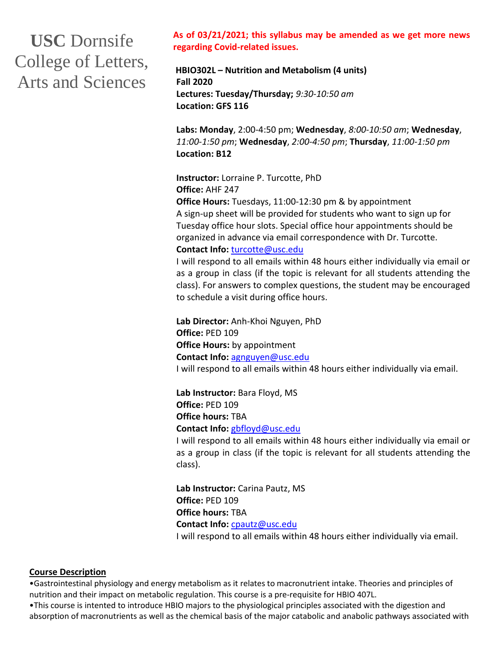# **USC** Dornsife College of Letters, Arts and Sciences

**As of 03/21/2021; this syllabus may be amended as we get more news regarding Covid-related issues.** 

**HBIO302L – Nutrition and Metabolism (4 units) Fall 2020 Lectures: Tuesday/Thursday;** *9:30-10:50 am* **Location: GFS 116**

**Labs: Monday**, 2:00-4:50 pm; **Wednesday**, *8:00-10:50 am*; **Wednesday**, *11:00-1:50 pm*; **Wednesday**, *2:00-4:50 pm*; **Thursday**, *11:00-1:50 pm* **Location: B12**

**Instructor:** Lorraine P. Turcotte, PhD **Office:** AHF 247

**Office Hours:** Tuesdays, 11:00-12:30 pm & by appointment A sign-up sheet will be provided for students who want to sign up for Tuesday office hour slots. Special office hour appointments should be organized in advance via email correspondence with Dr. Turcotte. **Contact Info:** [turcotte@usc.edu](mailto:turcotte@usc.edu)

I will respond to all emails within 48 hours either individually via email or as a group in class (if the topic is relevant for all students attending the class). For answers to complex questions, the student may be encouraged to schedule a visit during office hours.

**Lab Director:** Anh-Khoi Nguyen, PhD **Office:** PED 109 **Office Hours:** by appointment **Contact Info:** [agnguyen@usc.edu](mailto:agnguyen@usc.edu) I will respond to all emails within 48 hours either individually via email.

**Lab Instructor:** Bara Floyd, MS **Office:** PED 109 **Office hours:** TBA **Contact Info:** [gbfloyd@usc.edu](mailto:gbfloyd@usc.edu)

I will respond to all emails within 48 hours either individually via email or as a group in class (if the topic is relevant for all students attending the class).

**Lab Instructor:** Carina Pautz, MS **Office:** PED 109 **Office hours:** TBA **Contact Info:** [cpautz@usc.edu](mailto:cpautz@usc.edu) I will respond to all emails within 48 hours either individually via email.

#### **Course Description**

•Gastrointestinal physiology and energy metabolism as it relates to macronutrient intake. Theories and principles of nutrition and their impact on metabolic regulation. This course is a pre-requisite for HBIO 407L.

•This course is intented to introduce HBIO majors to the physiological principles associated with the digestion and absorption of macronutrients as well as the chemical basis of the major catabolic and anabolic pathways associated with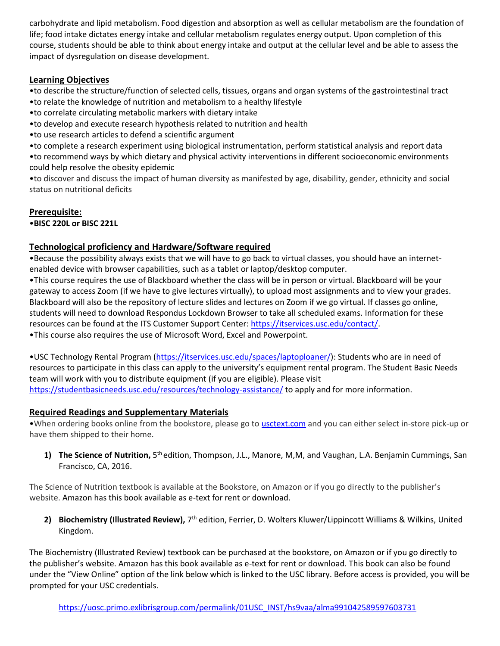carbohydrate and lipid metabolism. Food digestion and absorption as well as cellular metabolism are the foundation of life; food intake dictates energy intake and cellular metabolism regulates energy output. Upon completion of this course, students should be able to think about energy intake and output at the cellular level and be able to assess the impact of dysregulation on disease development.

#### **Learning Objectives**

•to describe the structure/function of selected cells, tissues, organs and organ systems of the gastrointestinal tract •to relate the knowledge of nutrition and metabolism to a healthy lifestyle

•to correlate circulating metabolic markers with dietary intake

•to develop and execute research hypothesis related to nutrition and health

•to use research articles to defend a scientific argument

•to complete a research experiment using biological instrumentation, perform statistical analysis and report data

•to recommend ways by which dietary and physical activity interventions in different socioeconomic environments could help resolve the obesity epidemic

•to discover and discuss the impact of human diversity as manifested by age, disability, gender, ethnicity and social status on nutritional deficits

#### **Prerequisite:**

•**BISC 220L or BISC 221L**

#### **Technological proficiency and Hardware/Software required**

•Because the possibility always exists that we will have to go back to virtual classes, you should have an internetenabled device with browser capabilities, such as a tablet or laptop/desktop computer.

•This course requires the use of Blackboard whether the class will be in person or virtual. Blackboard will be your gateway to access Zoom (if we have to give lectures virtually), to upload most assignments and to view your grades. Blackboard will also be the repository of lecture slides and lectures on Zoom if we go virtual. If classes go online, students will need to download Respondus Lockdown Browser to take all scheduled exams. Information for these resources can be found at the ITS Customer Support Center: [https://itservices.usc.edu/contact/.](https://itservices.usc.edu/contact/) •This course also requires the use of Microsoft Word, Excel and Powerpoint.

•USC Technology Rental Program [\(https://itservices.usc.edu/spaces/laptoploaner/\)](https://itservices.usc.edu/spaces/laptoploaner/): Students who are in need of resources to participate in this class can apply to the university's equipment rental program. The Student Basic Needs team will work with you to distribute equipment (if you are eligible). Please visit <https://studentbasicneeds.usc.edu/resources/technology-assistance/> to apply and for more information.

#### **Required Readings and Supplementary Materials**

•When ordering books online from the bookstore, please go to [usctext.com](https://urldefense.com/v3/__http:/usctext.com__;!!LIr3w8kk_Xxm!-HbWHhlWsC1ByRBOnW8IwzvpUf_B2G104KoqwO00wiPegWeme1CXoWT9HzRYTw$) and you can either select in-store pick-up or have them shipped to their home.

1) The Science of Nutrition, 5<sup>th</sup> edition, Thompson, J.L., Manore, M,M, and Vaughan, L.A. Benjamin Cummings, San Francisco, CA, 2016.

The Science of Nutrition textbook is available at the Bookstore, on Amazon or if you go directly to the publisher's website. Amazon has this book available as e-text for rent or download.

2) Biochemistry (Illustrated Review), 7<sup>th</sup> edition, Ferrier, D. Wolters Kluwer/Lippincott Williams & Wilkins, United Kingdom.

The Biochemistry (Illustrated Review) textbook can be purchased at the bookstore, on Amazon or if you go directly to the publisher's website. Amazon has this book available as e-text for rent or download. This book can also be found under the "View Online" option of the link below which is linked to the USC library. Before access is provided, you will be prompted for your USC credentials.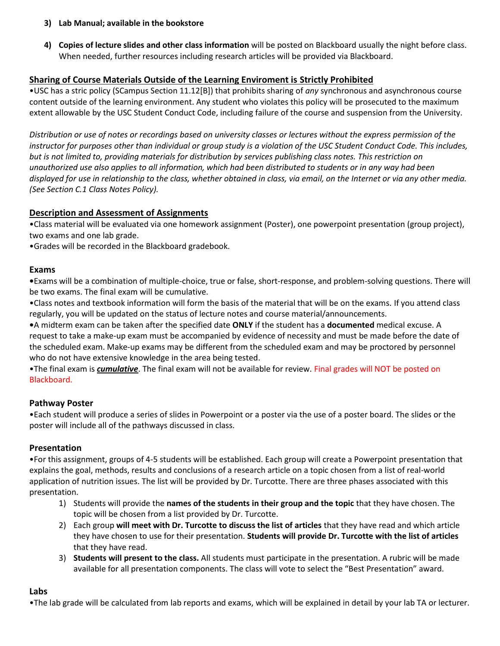- **3) Lab Manual; available in the bookstore**
- **4) Copies of lecture slides and other class information** will be posted on Blackboard usually the night before class. When needed, further resources including research articles will be provided via Blackboard.

#### **Sharing of Course Materials Outside of the Learning Enviroment is Strictly Prohibited**

•USC has a stric policy (SCampus Section 11.12[B]) that prohibits sharing of *any* synchronous and asynchronous course content outside of the learning environment. Any student who violates this policy will be prosecuted to the maximum extent allowable by the USC Student Conduct Code, including failure of the course and suspension from the University.

*Distribution or use of notes or recordings based on university classes or lectures without the express permission of the instructor for purposes other than individual or group study is a violation of the USC Student Conduct Code. This includes, but is not limited to, providing materials for distribution by services publishing class notes. This restriction on unauthorized use also applies to all information, which had been distributed to students or in any way had been displayed for use in relationship to the class, whether obtained in class, via email, on the Internet or via any other media. (See Section C.1 Class Notes Policy).*

#### **Description and Assessment of Assignments**

•Class material will be evaluated via one homework assignment (Poster), one powerpoint presentation (group project), two exams and one lab grade.

•Grades will be recorded in the Blackboard gradebook.

#### **Exams**

**•**Exams will be a combination of multiple-choice, true or false, short-response, and problem-solving questions. There will be two exams. The final exam will be cumulative.

•Class notes and textbook information will form the basis of the material that will be on the exams. If you attend class regularly, you will be updated on the status of lecture notes and course material/announcements.

**•**A midterm exam can be taken after the specified date **ONLY** if the student has a **documented** medical excuse. A request to take a make-up exam must be accompanied by evidence of necessity and must be made before the date of the scheduled exam. Make-up exams may be different from the scheduled exam and may be proctored by personnel who do not have extensive knowledge in the area being tested.

•The final exam is *cumulative*. The final exam will not be available for review. Final grades will NOT be posted on Blackboard.

#### **Pathway Poster**

•Each student will produce a series of slides in Powerpoint or a poster via the use of a poster board. The slides or the poster will include all of the pathways discussed in class.

#### **Presentation**

•For this assignment, groups of 4-5 students will be established. Each group will create a Powerpoint presentation that explains the goal, methods, results and conclusions of a research article on a topic chosen from a list of real-world application of nutrition issues. The list will be provided by Dr. Turcotte. There are three phases associated with this presentation.

- 1) Students will provide the **names of the students in their group and the topic** that they have chosen. The topic will be chosen from a list provided by Dr. Turcotte.
- 2) Each group **will meet with Dr. Turcotte to discuss the list of articles** that they have read and which article they have chosen to use for their presentation. **Students will provide Dr. Turcotte with the list of articles** that they have read.
- 3) **Students will present to the class.** All students must participate in the presentation. A rubric will be made available for all presentation components. The class will vote to select the "Best Presentation" award.

#### **Labs**

•The lab grade will be calculated from lab reports and exams, which will be explained in detail by your lab TA or lecturer.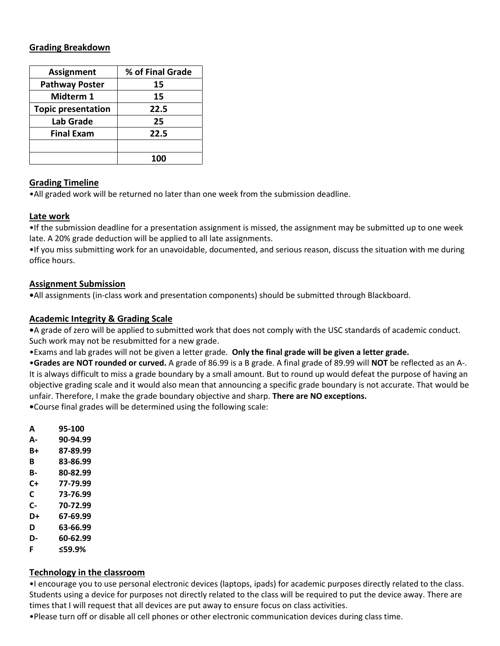#### **Grading Breakdown**

| <b>Assignment</b>         | % of Final Grade |  |  |
|---------------------------|------------------|--|--|
| <b>Pathway Poster</b>     | 15               |  |  |
| Midterm 1                 | 15               |  |  |
| <b>Topic presentation</b> | 22.5             |  |  |
| Lab Grade                 | 25               |  |  |
| <b>Final Exam</b>         | 22.5             |  |  |
|                           |                  |  |  |
|                           | 100              |  |  |

#### **Grading Timeline**

•All graded work will be returned no later than one week from the submission deadline.

#### **Late work**

•If the submission deadline for a presentation assignment is missed, the assignment may be submitted up to one week late. A 20% grade deduction will be applied to all late assignments.

•If you miss submitting work for an unavoidable, documented, and serious reason, discuss the situation with me during office hours.

#### **Assignment Submission**

**•**All assignments (in-class work and presentation components) should be submitted through Blackboard.

#### **Academic Integrity & Grading Scale**

**•**A grade of zero will be applied to submitted work that does not comply with the USC standards of academic conduct. Such work may not be resubmitted for a new grade.

•Exams and lab grades will not be given a letter grade. **Only the final grade will be given a letter grade.** 

•**Grades are NOT rounded or curved.** A grade of 86.99 is a B grade. A final grade of 89.99 will **NOT** be reflected as an A-. It is always difficult to miss a grade boundary by a small amount. But to round up would defeat the purpose of having an objective grading scale and it would also mean that announcing a specific grade boundary is not accurate. That would be unfair. Therefore, I make the grade boundary objective and sharp. **There are NO exceptions.**

**•**Course final grades will be determined using the following scale:

- **A 95-100**
- **A- 90-94.99**
- **B+ 87-89.99**
- **B 83-86.99**
- **B- 80-82.99**
- **C+ 77-79.99**
- **C 73-76.99**
- **C- 70-72.99**
- **D+ 67-69.99**
- **D 63-66.99**
- **D- 60-62.99 F ≤59.9%**

## **Technology in the classroom**

•I encourage you to use personal electronic devices (laptops, ipads) for academic purposes directly related to the class. Students using a device for purposes not directly related to the class will be required to put the device away. There are times that I will request that all devices are put away to ensure focus on class activities.

•Please turn off or disable all cell phones or other electronic communication devices during class time.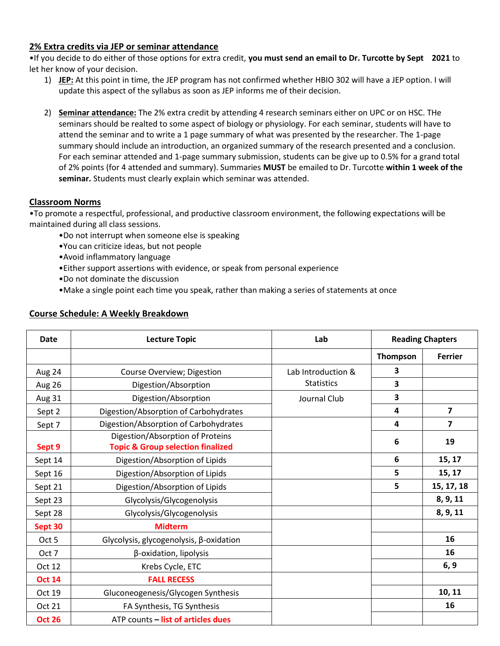#### **2% Extra credits via JEP or seminar attendance**

•If you decide to do either of those options for extra credit, **you must send an email to Dr. Turcotte by Sept 2021** to let her know of your decision.

- 1) **JEP:** At this point in time, the JEP program has not confirmed whether HBIO 302 will have a JEP option. I will update this aspect of the syllabus as soon as JEP informs me of their decision.
- 2) **Seminar attendance:** The 2% extra credit by attending 4 research seminars either on UPC or on HSC. THe seminars should be realted to some aspect of biology or physiology. For each seminar, students will have to attend the seminar and to write a 1 page summary of what was presented by the researcher. The 1-page summary should include an introduction, an organized summary of the research presented and a conclusion. For each seminar attended and 1-page summary submission, students can be give up to 0.5% for a grand total of 2% points (for 4 attended and summary). Summaries **MUST** be emailed to Dr. Turcotte **within 1 week of the seminar.** Students must clearly explain which seminar was attended.

#### **Classroom Norms**

•To promote a respectful, professional, and productive classroom environment, the following expectations will be maintained during all class sessions.

- •Do not interrupt when someone else is speaking
- •You can criticize ideas, but not people
- •Avoid inflammatory language
- •Either support assertions with evidence, or speak from personal experience
- •Do not dominate the discussion
- •Make a single point each time you speak, rather than making a series of statements at once

| <b>Date</b>   | <b>Lecture Topic</b>                                                             | Lab                | <b>Reading Chapters</b> |                         |
|---------------|----------------------------------------------------------------------------------|--------------------|-------------------------|-------------------------|
|               |                                                                                  |                    | Thompson                | <b>Ferrier</b>          |
| Aug 24        | Course Overview; Digestion                                                       | Lab Introduction & | 3                       |                         |
| Aug 26        | Digestion/Absorption                                                             | <b>Statistics</b>  | 3                       |                         |
| Aug 31        | Digestion/Absorption                                                             | Journal Club       | 3                       |                         |
| Sept 2        | Digestion/Absorption of Carbohydrates                                            |                    | 4                       | $\overline{\mathbf{z}}$ |
| Sept 7        | Digestion/Absorption of Carbohydrates                                            |                    | 4                       | 7                       |
| Sept 9        | Digestion/Absorption of Proteins<br><b>Topic &amp; Group selection finalized</b> |                    | 6                       | 19                      |
| Sept 14       | Digestion/Absorption of Lipids                                                   |                    | 6                       | 15, 17                  |
| Sept 16       | Digestion/Absorption of Lipids                                                   |                    | 5                       | 15, 17                  |
| Sept 21       | Digestion/Absorption of Lipids                                                   |                    | 5                       | 15, 17, 18              |
| Sept 23       | Glycolysis/Glycogenolysis                                                        |                    |                         | 8, 9, 11                |
| Sept 28       | Glycolysis/Glycogenolysis                                                        |                    |                         | 8, 9, 11                |
| Sept 30       | <b>Midterm</b>                                                                   |                    |                         |                         |
| Oct 5         | Glycolysis, glycogenolysis, β-oxidation                                          |                    |                         | 16                      |
| Oct 7         | β-oxidation, lipolysis                                                           |                    |                         | 16                      |
| Oct 12        | Krebs Cycle, ETC                                                                 |                    |                         | 6, 9                    |
| <b>Oct 14</b> | <b>FALL RECESS</b>                                                               |                    |                         |                         |
| Oct 19        | Gluconeogenesis/Glycogen Synthesis                                               |                    |                         | 10, 11                  |
| Oct 21        | FA Synthesis, TG Synthesis                                                       |                    |                         | 16                      |
| <b>Oct 26</b> | ATP counts - list of articles dues                                               |                    |                         |                         |

#### **Course Schedule: A Weekly Breakdown**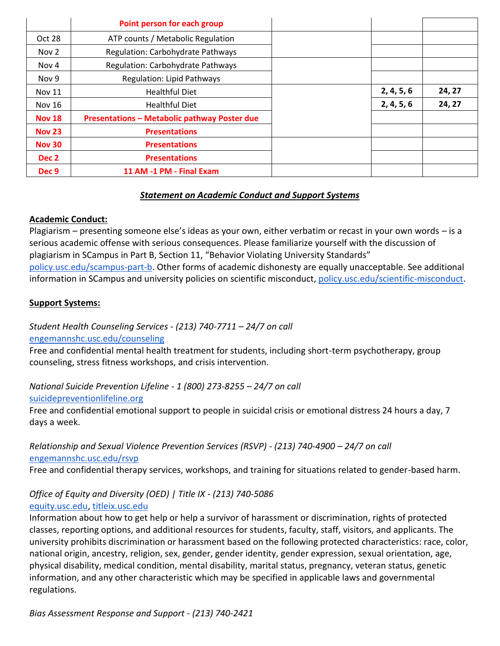|                  | Point person for each group                         |  |                          |        |
|------------------|-----------------------------------------------------|--|--------------------------|--------|
| Oct 28           | ATP counts / Metabolic Regulation                   |  |                          |        |
| Nov 2            | <b>Regulation: Carbohydrate Pathways</b>            |  |                          |        |
| Nov 4            | <b>Regulation: Carbohydrate Pathways</b>            |  |                          |        |
| Nov 9            | <b>Regulation: Lipid Pathways</b>                   |  |                          |        |
| <b>Nov 11</b>    | <b>Healthful Diet</b>                               |  | 2, 4, 5, 6<br>2, 4, 5, 6 | 24, 27 |
| <b>Nov 16</b>    | <b>Healthful Diet</b>                               |  |                          | 24, 27 |
| <b>Nov 18</b>    | <b>Presentations - Metabolic pathway Poster due</b> |  |                          |        |
| <b>Nov 23</b>    | <b>Presentations</b>                                |  |                          |        |
| <b>Nov 30</b>    | <b>Presentations</b>                                |  |                          |        |
| Dec 2            | <b>Presentations</b>                                |  |                          |        |
| Dec <sub>9</sub> | 11 AM -1 PM - Final Exam                            |  |                          |        |

### *Statement on Academic Conduct and Support Systems*

#### **Academic Conduct:**

Plagiarism – presenting someone else's ideas as your own, either verbatim or recast in your own words – is a serious academic offense with serious consequences. Please familiarize yourself with the discussion of plagiarism in SCampus in Part B, Section 11, "Behavior Violating University Standards" [policy.usc.edu/scampus-part-b.](https://policy.usc.edu/scampus-part-b/) Other forms of academic dishonesty are equally unacceptable. See additional information in SCampus and university policies on scientific misconduct, [policy.usc.edu/scientific-misconduct.](http://policy.usc.edu/scientific-misconduct)

#### **Support Systems:**

*Student Health Counseling Services - (213) 740-7711 – 24/7 on call*

[engemannshc.usc.edu/counseling](https://engemannshc.usc.edu/counseling/)

Free and confidential mental health treatment for students, including short-term psychotherapy, group [counseling, stress fitness workshops, and crisis intervention.](https://engemannshc.usc.edu/counseling/) 

*National Suicide Prevention Lifeline - 1 (800) 273-8255 – 24/7 on call* [suicidepreventionlifeline.org](http://www.suicidepreventionlifeline.org/)

Free and confidential emotional support to people in suicidal crisis or emotional distress 24 hours a day, 7 days a week.

*Relationship and Sexual Violence Prevention Services (RSVP) - (213) 740-4900 – 24/7 on call* [engemannshc.usc.edu/rsvp](https://engemannshc.usc.edu/rsvp/)

Free and confidential therapy services, workshops, and training for situations related to gender-based harm.

#### *Office of Equity and Diversity (OED) | Title IX - (213) 740-5086* [equity.usc.edu,](https://equity.usc.edu/) [titleix.usc.edu](http://titleix.usc.edu/)

Information about how to get help or help a survivor of harassment or discrimination, rights of protected classes, reporting options, and additional resources for students, faculty, staff, visitors, and applicants. The university prohibits discrimination or harassment based on the following protected characteristics: race, color, national origin, ancestry, religion, sex, gender, gender identity, gender expression, sexual orientation, age, physical disability, medical condition, mental disability, marital status, pregnancy, veteran status, genetic information, and any other characteristic which may be specified in applicable laws and governmental regulations[.](http://sarc.usc.edu/)

*Bias Assessment Response and Support - (213) 740-2421*